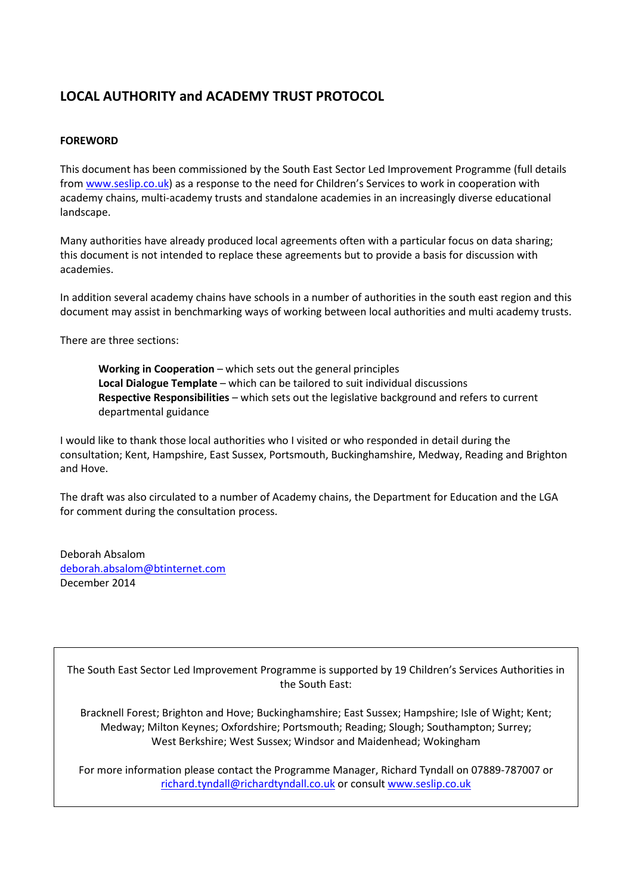# **LOCAL AUTHORITY and ACADEMY TRUST PROTOCOL**

#### **FOREWORD**

This document has been commissioned by the South East Sector Led Improvement Programme (full details from [www.seslip.co.uk\)](http://www.seslip.co.uk/) as a response to the need for Children's Services to work in cooperation with academy chains, multi-academy trusts and standalone academies in an increasingly diverse educational landscape.

Many authorities have already produced local agreements often with a particular focus on data sharing; this document is not intended to replace these agreements but to provide a basis for discussion with academies.

In addition several academy chains have schools in a number of authorities in the south east region and this document may assist in benchmarking ways of working between local authorities and multi academy trusts.

There are three sections:

**Working in Cooperation** – which sets out the general principles **Local Dialogue Template** – which can be tailored to suit individual discussions **Respective Responsibilities** – which sets out the legislative background and refers to current departmental guidance

I would like to thank those local authorities who I visited or who responded in detail during the consultation; Kent, Hampshire, East Sussex, Portsmouth, Buckinghamshire, Medway, Reading and Brighton and Hove.

The draft was also circulated to a number of Academy chains, the Department for Education and the LGA for comment during the consultation process.

Deborah Absalom [deborah.absalom@btinternet.com](mailto:deborah.absalom@btinternet.com) December 2014

The South East Sector Led Improvement Programme is supported by 19 Children's Services Authorities in the South East:

Bracknell Forest; Brighton and Hove; Buckinghamshire; East Sussex; Hampshire; Isle of Wight; Kent; Medway; Milton Keynes; Oxfordshire; Portsmouth; Reading; Slough; Southampton; Surrey; West Berkshire; West Sussex; Windsor and Maidenhead; Wokingham

For more information please contact the Programme Manager, Richard Tyndall on 07889-787007 or [richard.tyndall@richardtyndall.co.uk](mailto:richard.tyndall@richardtyndall.co.uk) or consult [www.seslip.co.uk](http://www.seslip.co.uk/)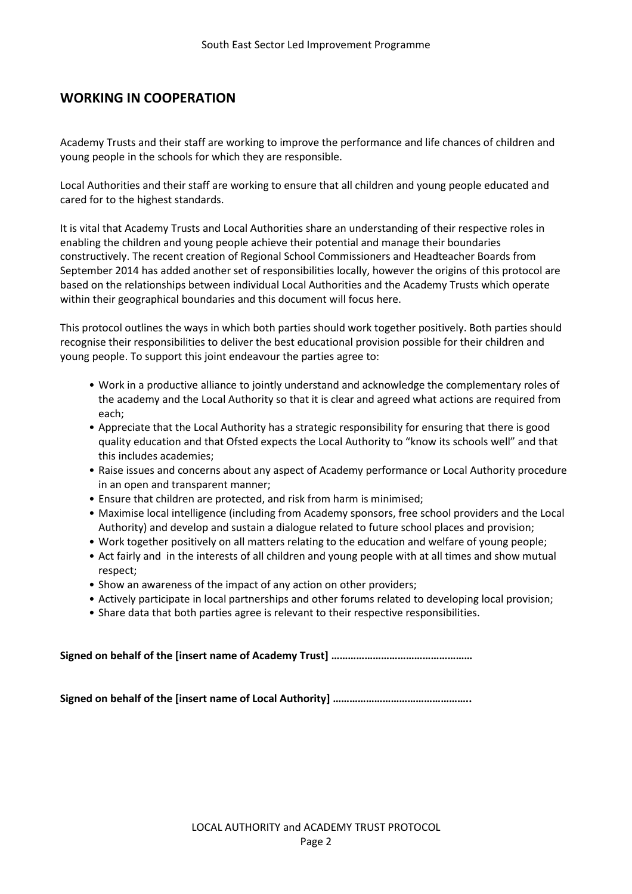## **WORKING IN COOPERATION**

Academy Trusts and their staff are working to improve the performance and life chances of children and young people in the schools for which they are responsible.

Local Authorities and their staff are working to ensure that all children and young people educated and cared for to the highest standards.

It is vital that Academy Trusts and Local Authorities share an understanding of their respective roles in enabling the children and young people achieve their potential and manage their boundaries constructively. The recent creation of Regional School Commissioners and Headteacher Boards from September 2014 has added another set of responsibilities locally, however the origins of this protocol are based on the relationships between individual Local Authorities and the Academy Trusts which operate within their geographical boundaries and this document will focus here.

This protocol outlines the ways in which both parties should work together positively. Both parties should recognise their responsibilities to deliver the best educational provision possible for their children and young people. To support this joint endeavour the parties agree to:

- Work in a productive alliance to jointly understand and acknowledge the complementary roles of the academy and the Local Authority so that it is clear and agreed what actions are required from each;
- Appreciate that the Local Authority has a strategic responsibility for ensuring that there is good quality education and that Ofsted expects the Local Authority to "know its schools well" and that this includes academies;
- Raise issues and concerns about any aspect of Academy performance or Local Authority procedure in an open and transparent manner;
- Ensure that children are protected, and risk from harm is minimised;
- Maximise local intelligence (including from Academy sponsors, free school providers and the Local Authority) and develop and sustain a dialogue related to future school places and provision;
- Work together positively on all matters relating to the education and welfare of young people;
- Act fairly and in the interests of all children and young people with at all times and show mutual respect;
- Show an awareness of the impact of any action on other providers;
- Actively participate in local partnerships and other forums related to developing local provision;
- Share data that both parties agree is relevant to their respective responsibilities.

**Signed on behalf of the [insert name of Academy Trust] ……………………………………………**

**Signed on behalf of the [insert name of Local Authority] …………………………………………..**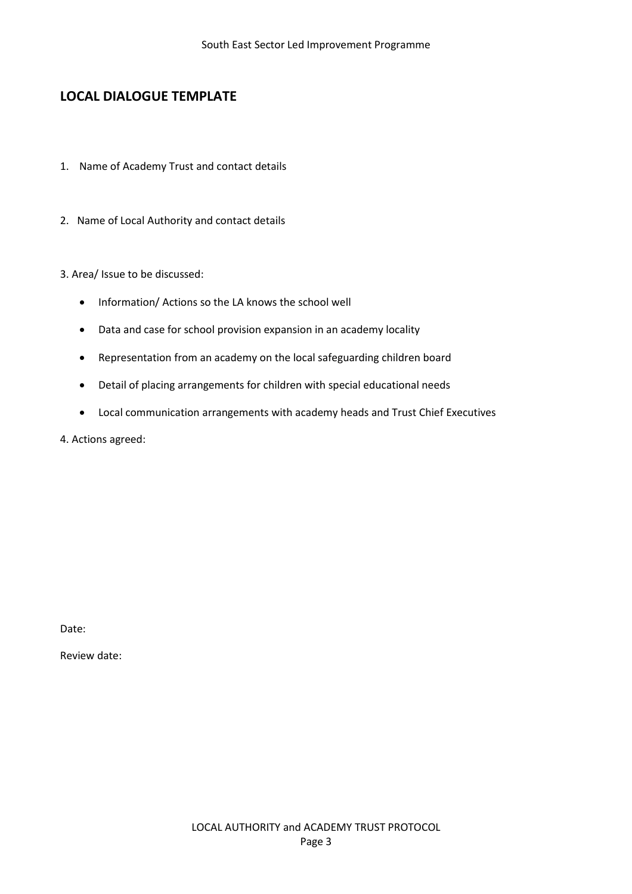# **LOCAL DIALOGUE TEMPLATE**

- 1. Name of Academy Trust and contact details
- 2. Name of Local Authority and contact details

## 3. Area/ Issue to be discussed:

- Information/ Actions so the LA knows the school well
- Data and case for school provision expansion in an academy locality
- Representation from an academy on the local safeguarding children board
- Detail of placing arrangements for children with special educational needs
- Local communication arrangements with academy heads and Trust Chief Executives

4. Actions agreed:

Date:

Review date: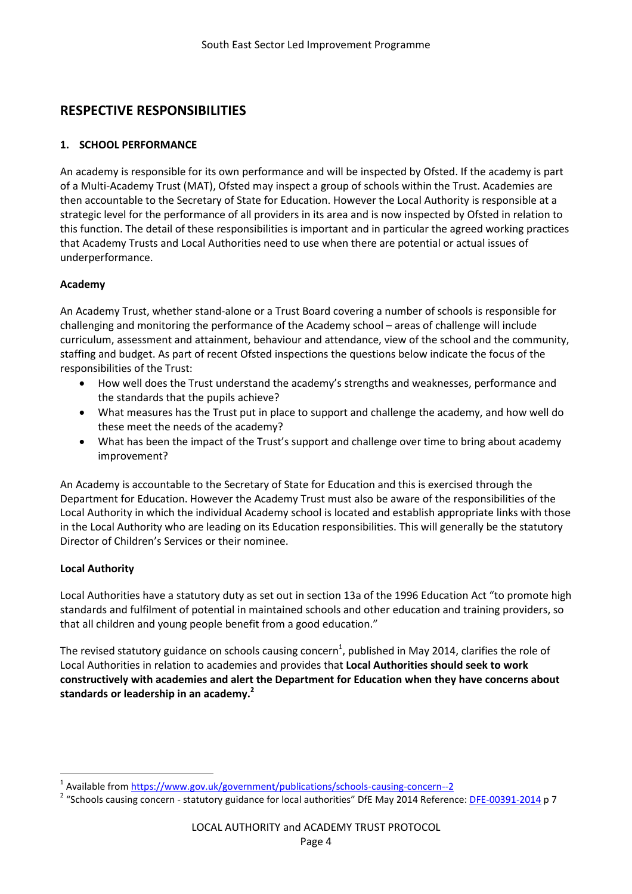## **RESPECTIVE RESPONSIBILITIES**

## **1. SCHOOL PERFORMANCE**

An academy is responsible for its own performance and will be inspected by Ofsted. If the academy is part of a Multi-Academy Trust (MAT), Ofsted may inspect a group of schools within the Trust. Academies are then accountable to the Secretary of State for Education. However the Local Authority is responsible at a strategic level for the performance of all providers in its area and is now inspected by Ofsted in relation to this function. The detail of these responsibilities is important and in particular the agreed working practices that Academy Trusts and Local Authorities need to use when there are potential or actual issues of underperformance.

## **Academy**

An Academy Trust, whether stand-alone or a Trust Board covering a number of schools is responsible for challenging and monitoring the performance of the Academy school – areas of challenge will include curriculum, assessment and attainment, behaviour and attendance, view of the school and the community, staffing and budget. As part of recent Ofsted inspections the questions below indicate the focus of the responsibilities of the Trust:

- How well does the Trust understand the academy's strengths and weaknesses, performance and the standards that the pupils achieve?
- What measures has the Trust put in place to support and challenge the academy, and how well do these meet the needs of the academy?
- What has been the impact of the Trust's support and challenge over time to bring about academy improvement?

An Academy is accountable to the Secretary of State for Education and this is exercised through the Department for Education. However the Academy Trust must also be aware of the responsibilities of the Local Authority in which the individual Academy school is located and establish appropriate links with those in the Local Authority who are leading on its Education responsibilities. This will generally be the statutory Director of Children's Services or their nominee.

## **Local Authority**

 $\overline{a}$ 

Local Authorities have a statutory duty as set out in section 13a of the 1996 Education Act "to promote high standards and fulfilment of potential in maintained schools and other education and training providers, so that all children and young people benefit from a good education."

The revised statutory guidance on schools causing concern<sup>1</sup>, published in May 2014, clarifies the role of Local Authorities in relation to academies and provides that **Local Authorities should seek to work constructively with academies and alert the Department for Education when they have concerns about standards or leadership in an academy.<sup>2</sup>**

<sup>1</sup> Available from <https://www.gov.uk/government/publications/schools-causing-concern--2>

<sup>&</sup>lt;sup>2</sup> "Schools causing concern - statutory guidance for local authorities" DfE May 2014 Reference: <u>[DFE-00391-2014](https://www.gov.uk/government/uploads/system/uploads/attachment_data/file/306946/SCC_guidance_May2014_FINAL.pdf)</u> p 7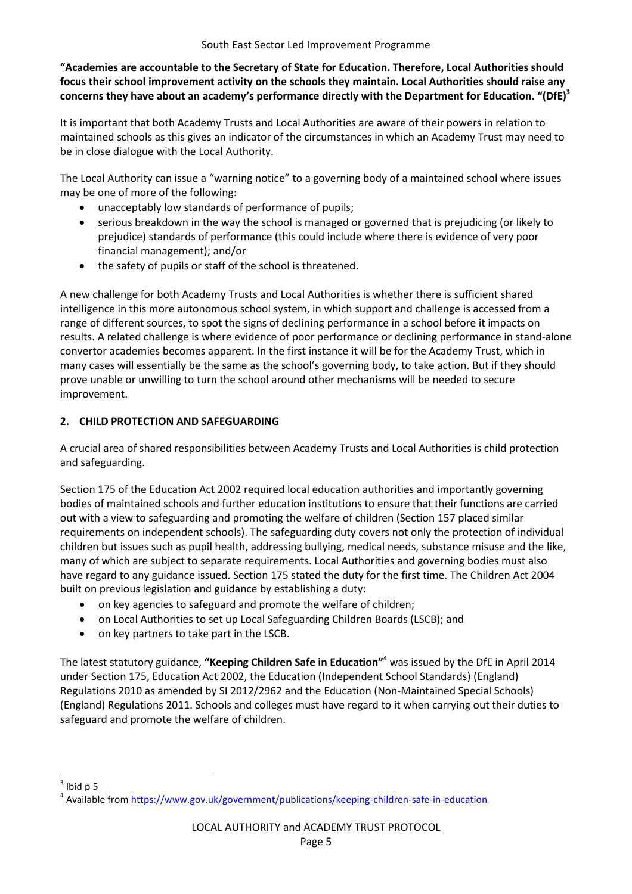**"Academies are accountable to the Secretary of State for Education. Therefore, Local Authorities should focus their school improvement activity on the schools they maintain. Local Authorities should raise any concerns they have about an academy's performance directly with the Department for Education. "(DfE)<sup>3</sup>**

It is important that both Academy Trusts and Local Authorities are aware of their powers in relation to maintained schools as this gives an indicator of the circumstances in which an Academy Trust may need to be in close dialogue with the Local Authority.

The Local Authority can issue a "warning notice" to a governing body of a maintained school where issues may be one of more of the following:

- unacceptably low standards of performance of pupils;
- serious breakdown in the way the school is managed or governed that is prejudicing (or likely to prejudice) standards of performance (this could include where there is evidence of very poor financial management); and/or
- the safety of pupils or staff of the school is threatened.

A new challenge for both Academy Trusts and Local Authorities is whether there is sufficient shared intelligence in this more autonomous school system, in which support and challenge is accessed from a range of different sources, to spot the signs of declining performance in a school before it impacts on results. A related challenge is where evidence of poor performance or declining performance in stand‐alone convertor academies becomes apparent. In the first instance it will be for the Academy Trust, which in many cases will essentially be the same as the school's governing body, to take action. But if they should prove unable or unwilling to turn the school around other mechanisms will be needed to secure improvement.

## **2. CHILD PROTECTION AND SAFEGUARDING**

A crucial area of shared responsibilities between Academy Trusts and Local Authorities is child protection and safeguarding.

Section 175 of the Education Act 2002 required local education authorities and importantly governing bodies of maintained schools and further education institutions to ensure that their functions are carried out with a view to safeguarding and promoting the welfare of children (Section 157 placed similar requirements on independent schools). The safeguarding duty covers not only the protection of individual children but issues such as pupil health, addressing bullying, medical needs, substance misuse and the like, many of which are subject to separate requirements. Local Authorities and governing bodies must also have regard to any guidance issued. Section 175 stated the duty for the first time. The Children Act 2004 built on previous legislation and guidance by establishing a duty:

- on key agencies to safeguard and promote the welfare of children;
- on Local Authorities to set up Local Safeguarding Children Boards (LSCB); and
- on key partners to take part in the LSCB.

The latest statutory guidance, **"Keeping Children Safe in Education"** <sup>4</sup> was issued by the DfE in April 2014 under Section 175, Education Act 2002, the Education (Independent School Standards) (England) Regulations 2010 as amended by SI 2012/2962 and the Education (Non-Maintained Special Schools) (England) Regulations 2011. Schools and colleges must have regard to it when carrying out their duties to safeguard and promote the welfare of children.

 $\overline{a}$ 

 $3$  Ibid p 5

<sup>&</sup>lt;sup>4</sup> Available from <https://www.gov.uk/government/publications/keeping-children-safe-in-education>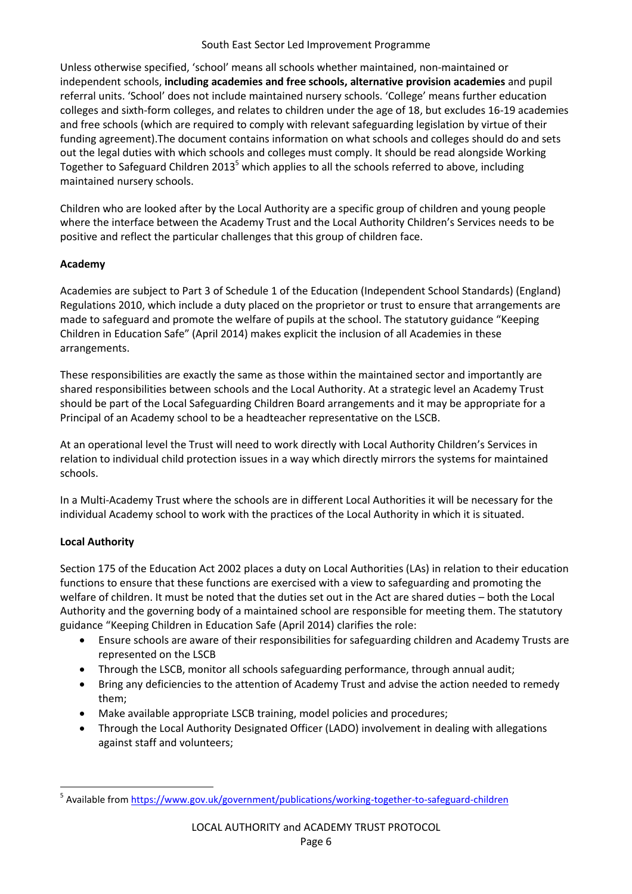#### South East Sector Led Improvement Programme

Unless otherwise specified, 'school' means all schools whether maintained, non-maintained or independent schools, **including academies and free schools, alternative provision academies** and pupil referral units. 'School' does not include maintained nursery schools. 'College' means further education colleges and sixth-form colleges, and relates to children under the age of 18, but excludes 16-19 academies and free schools (which are required to comply with relevant safeguarding legislation by virtue of their funding agreement).The document contains information on what schools and colleges should do and sets out the legal duties with which schools and colleges must comply. It should be read alongside Working Together to Safeguard Children 2013<sup>5</sup> which applies to all the schools referred to above, including maintained nursery schools.

Children who are looked after by the Local Authority are a specific group of children and young people where the interface between the Academy Trust and the Local Authority Children's Services needs to be positive and reflect the particular challenges that this group of children face.

## **Academy**

Academies are subject to Part 3 of Schedule 1 of the Education (Independent School Standards) (England) Regulations 2010, which include a duty placed on the proprietor or trust to ensure that arrangements are made to safeguard and promote the welfare of pupils at the school. The statutory guidance "Keeping Children in Education Safe" (April 2014) makes explicit the inclusion of all Academies in these arrangements.

These responsibilities are exactly the same as those within the maintained sector and importantly are shared responsibilities between schools and the Local Authority. At a strategic level an Academy Trust should be part of the Local Safeguarding Children Board arrangements and it may be appropriate for a Principal of an Academy school to be a headteacher representative on the LSCB.

At an operational level the Trust will need to work directly with Local Authority Children's Services in relation to individual child protection issues in a way which directly mirrors the systems for maintained schools.

In a Multi-Academy Trust where the schools are in different Local Authorities it will be necessary for the individual Academy school to work with the practices of the Local Authority in which it is situated.

## **Local Authority**

 $\overline{a}$ 

Section 175 of the Education Act 2002 places a duty on Local Authorities (LAs) in relation to their education functions to ensure that these functions are exercised with a view to safeguarding and promoting the welfare of children. It must be noted that the duties set out in the Act are shared duties – both the Local Authority and the governing body of a maintained school are responsible for meeting them. The statutory guidance "Keeping Children in Education Safe (April 2014) clarifies the role:

- Ensure schools are aware of their responsibilities for safeguarding children and Academy Trusts are represented on the LSCB
- Through the LSCB, monitor all schools safeguarding performance, through annual audit;
- Bring any deficiencies to the attention of Academy Trust and advise the action needed to remedy them;
- Make available appropriate LSCB training, model policies and procedures;
- Through the Local Authority Designated Officer (LADO) involvement in dealing with allegations against staff and volunteers;

<sup>&</sup>lt;sup>5</sup> Available from <https://www.gov.uk/government/publications/working-together-to-safeguard-children>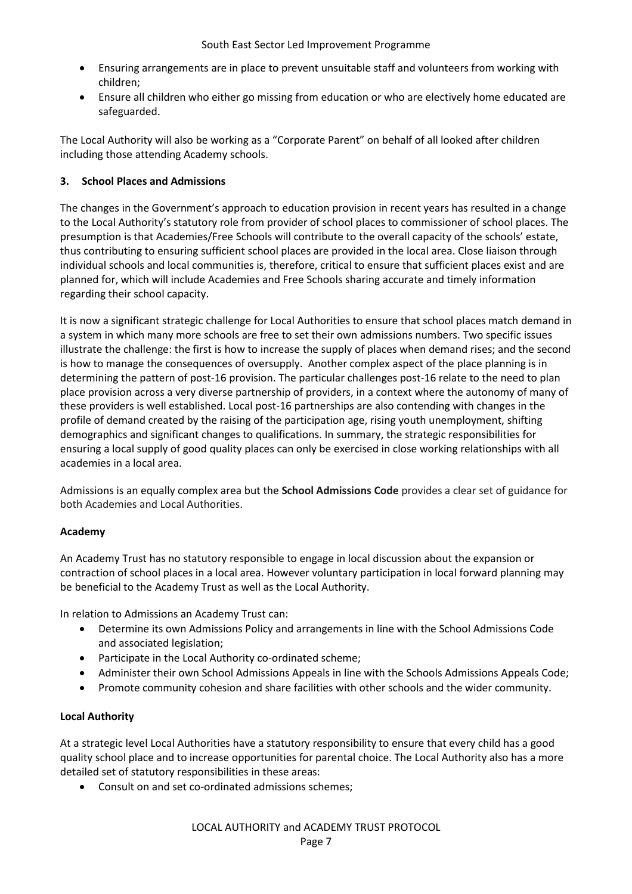- Ensuring arrangements are in place to prevent unsuitable staff and volunteers from working with children;
- Ensure all children who either go missing from education or who are electively home educated are safeguarded.

The Local Authority will also be working as a "Corporate Parent" on behalf of all looked after children including those attending Academy schools.

## **3. School Places and Admissions**

The changes in the Government's approach to education provision in recent years has resulted in a change to the Local Authority's statutory role from provider of school places to commissioner of school places. The presumption is that Academies/Free Schools will contribute to the overall capacity of the schools' estate, thus contributing to ensuring sufficient school places are provided in the local area. Close liaison through individual schools and local communities is, therefore, critical to ensure that sufficient places exist and are planned for, which will include Academies and Free Schools sharing accurate and timely information regarding their school capacity.

It is now a significant strategic challenge for Local Authorities to ensure that school places match demand in a system in which many more schools are free to set their own admissions numbers. Two specific issues illustrate the challenge: the first is how to increase the supply of places when demand rises; and the second is how to manage the consequences of oversupply. Another complex aspect of the place planning is in determining the pattern of post-16 provision. The particular challenges post-16 relate to the need to plan place provision across a very diverse partnership of providers, in a context where the autonomy of many of these providers is well established. Local post‐16 partnerships are also contending with changes in the profile of demand created by the raising of the participation age, rising youth unemployment, shifting demographics and significant changes to qualifications. In summary, the strategic responsibilities for ensuring a local supply of good quality places can only be exercised in close working relationships with all academies in a local area.

Admissions is an equally complex area but the **School Admissions Code** provides a clear set of guidance for both Academies and Local Authorities.

## **Academy**

An Academy Trust has no statutory responsible to engage in local discussion about the expansion or contraction of school places in a local area. However voluntary participation in local forward planning may be beneficial to the Academy Trust as well as the Local Authority.

In relation to Admissions an Academy Trust can:

- Determine its own Admissions Policy and arrangements in line with the School Admissions Code and associated legislation;
- Participate in the Local Authority co-ordinated scheme;
- Administer their own School Admissions Appeals in line with the Schools Admissions Appeals Code;
- Promote community cohesion and share facilities with other schools and the wider community.

#### **Local Authority**

At a strategic level Local Authorities have a statutory responsibility to ensure that every child has a good quality school place and to increase opportunities for parental choice. The Local Authority also has a more detailed set of statutory responsibilities in these areas:

Consult on and set co-ordinated admissions schemes;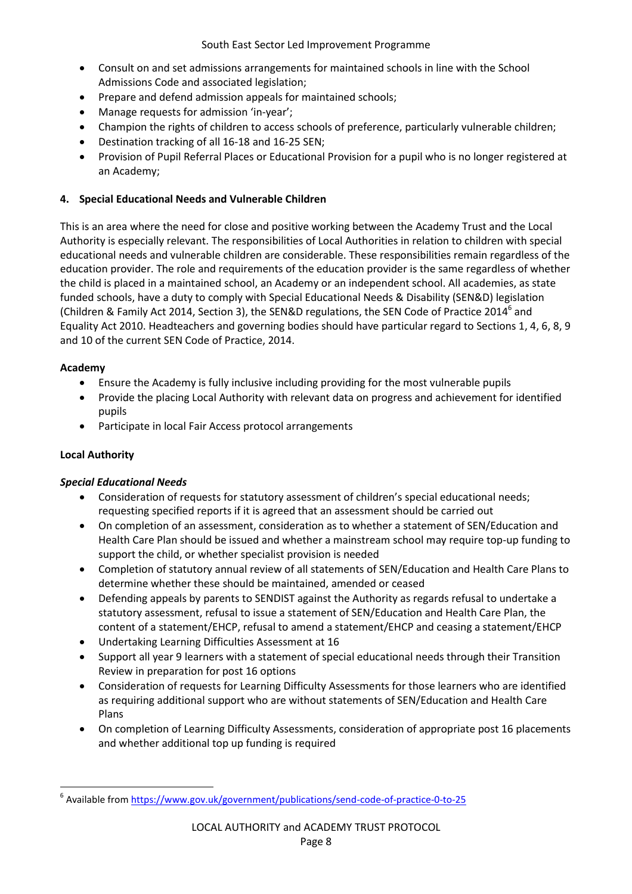- Consult on and set admissions arrangements for maintained schools in line with the School Admissions Code and associated legislation;
- Prepare and defend admission appeals for maintained schools;
- Manage requests for admission 'in-year';
- Champion the rights of children to access schools of preference, particularly vulnerable children;
- Destination tracking of all 16-18 and 16-25 SEN;
- Provision of Pupil Referral Places or Educational Provision for a pupil who is no longer registered at an Academy;

#### **4. Special Educational Needs and Vulnerable Children**

This is an area where the need for close and positive working between the Academy Trust and the Local Authority is especially relevant. The responsibilities of Local Authorities in relation to children with special educational needs and vulnerable children are considerable. These responsibilities remain regardless of the education provider. The role and requirements of the education provider is the same regardless of whether the child is placed in a maintained school, an Academy or an independent school. All academies, as state funded schools, have a duty to comply with Special Educational Needs & Disability (SEN&D) legislation (Children & Family Act 2014, Section 3), the SEN&D regulations, the SEN Code of Practice 2014<sup>6</sup> and Equality Act 2010. Headteachers and governing bodies should have particular regard to Sections 1, 4, 6, 8, 9 and 10 of the current SEN Code of Practice, 2014.

#### **Academy**

- Ensure the Academy is fully inclusive including providing for the most vulnerable pupils
- Provide the placing Local Authority with relevant data on progress and achievement for identified pupils
- Participate in local Fair Access protocol arrangements

## **Local Authority**

 $\overline{a}$ 

## *Special Educational Needs*

- Consideration of requests for statutory assessment of children's special educational needs; requesting specified reports if it is agreed that an assessment should be carried out
- On completion of an assessment, consideration as to whether a statement of SEN/Education and Health Care Plan should be issued and whether a mainstream school may require top-up funding to support the child, or whether specialist provision is needed
- Completion of statutory annual review of all statements of SEN/Education and Health Care Plans to determine whether these should be maintained, amended or ceased
- Defending appeals by parents to SENDIST against the Authority as regards refusal to undertake a statutory assessment, refusal to issue a statement of SEN/Education and Health Care Plan, the content of a statement/EHCP, refusal to amend a statement/EHCP and ceasing a statement/EHCP
- Undertaking Learning Difficulties Assessment at 16
- Support all year 9 learners with a statement of special educational needs through their Transition Review in preparation for post 16 options
- Consideration of requests for Learning Difficulty Assessments for those learners who are identified as requiring additional support who are without statements of SEN/Education and Health Care Plans
- On completion of Learning Difficulty Assessments, consideration of appropriate post 16 placements and whether additional top up funding is required

<sup>&</sup>lt;sup>6</sup> Available from <https://www.gov.uk/government/publications/send-code-of-practice-0-to-25>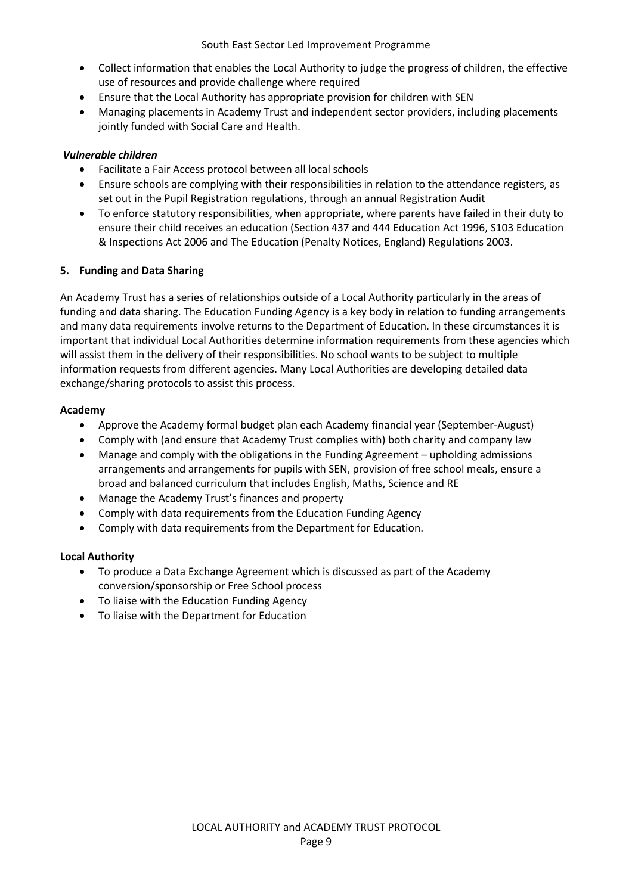- Collect information that enables the Local Authority to judge the progress of children, the effective use of resources and provide challenge where required
- Ensure that the Local Authority has appropriate provision for children with SEN
- Managing placements in Academy Trust and independent sector providers, including placements jointly funded with Social Care and Health.

#### *Vulnerable children*

- Facilitate a Fair Access protocol between all local schools
- Ensure schools are complying with their responsibilities in relation to the attendance registers, as set out in the Pupil Registration regulations, through an annual Registration Audit
- To enforce statutory responsibilities, when appropriate, where parents have failed in their duty to ensure their child receives an education (Section 437 and 444 Education Act 1996, S103 Education & Inspections Act 2006 and The Education (Penalty Notices, England) Regulations 2003.

#### **5. Funding and Data Sharing**

An Academy Trust has a series of relationships outside of a Local Authority particularly in the areas of funding and data sharing. The Education Funding Agency is a key body in relation to funding arrangements and many data requirements involve returns to the Department of Education. In these circumstances it is important that individual Local Authorities determine information requirements from these agencies which will assist them in the delivery of their responsibilities. No school wants to be subject to multiple information requests from different agencies. Many Local Authorities are developing detailed data exchange/sharing protocols to assist this process.

#### **Academy**

- Approve the Academy formal budget plan each Academy financial year (September-August)
- Comply with (and ensure that Academy Trust complies with) both charity and company law
- Manage and comply with the obligations in the Funding Agreement upholding admissions arrangements and arrangements for pupils with SEN, provision of free school meals, ensure a broad and balanced curriculum that includes English, Maths, Science and RE
- Manage the Academy Trust's finances and property
- Comply with data requirements from the Education Funding Agency
- Comply with data requirements from the Department for Education.

#### **Local Authority**

- To produce a Data Exchange Agreement which is discussed as part of the Academy conversion/sponsorship or Free School process
- To liaise with the Education Funding Agency
- To liaise with the Department for Education